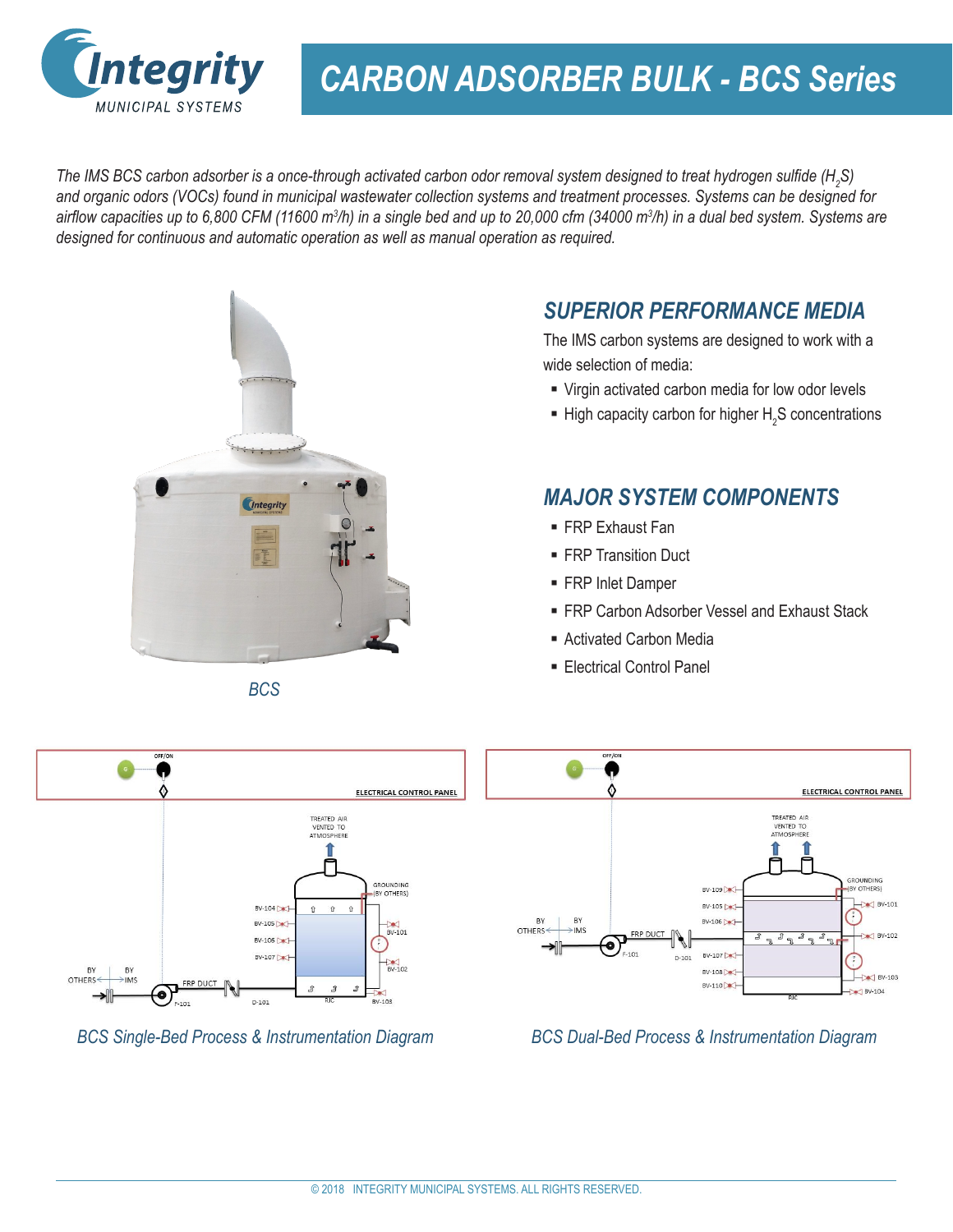

# *CARBON ADSORBER BULK - BCS Series*

*The IMS BCS carbon adsorber is a once-through activated carbon odor removal system designed to treat hydrogen sulfide (H<sup>2</sup> S) and organic odors (VOCs) found in municipal wastewater collection systems and treatment processes. Systems can be designed for airflow capacities up to 6,800 CFM (11600 m<sup>3</sup> /h) in a single bed and up to 20,000 cfm (34000 m<sup>3</sup> /h) in a dual bed system. Systems are designed for continuous and automatic operation as well as manual operation as required.*



*BCS*

#### *SUPERIOR PERFORMANCE MEDIA*

The IMS carbon systems are designed to work with a wide selection of media:

- Virgin activated carbon media for low odor levels
- $\blacksquare$  High capacity carbon for higher  $H_2S$  concentrations

#### *MAJOR SYSTEM COMPONENTS*

- FRP Exhaust Fan
- **FRP Transition Duct**
- **FRP Inlet Damper**
- **FRP Carbon Adsorber Vessel and Exhaust Stack**
- Activated Carbon Media
- **Electrical Control Panel**



*BCS Single-Bed Process & Instrumentation Diagram*



*BCS Dual-Bed Process & Instrumentation Diagram*